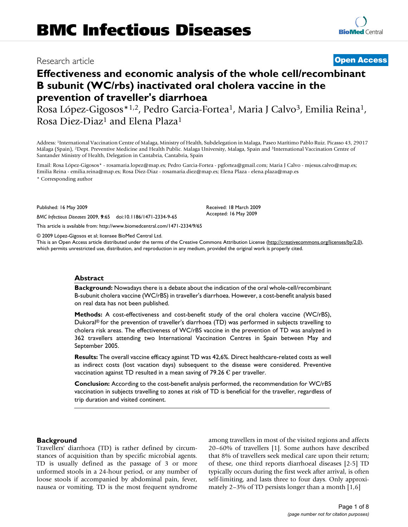# Research article **[Open Access](http://www.biomedcentral.com/info/about/charter/)**

# **Effectiveness and economic analysis of the whole cell/recombinant B subunit (WC/rbs) inactivated oral cholera vaccine in the prevention of traveller's diarrhoea**

Rosa López-Gigosos\*<sup>1,2</sup>, Pedro Garcia-Fortea<sup>1</sup>, Maria J Calvo<sup>3</sup>, Emilia Reina<sup>1</sup>, Rosa Diez-Diaz1 and Elena Plaza1

Address: 1International Vaccination Centre of Malaga, Ministry of Health, Subdelegation in Malaga, Paseo Marítimo Pablo Ruiz. Picasso 43, 29017 Málaga (Spain), 2Dept. Preventive Medicine and Health Public. Malaga University, Malaga, Spain and 3International Vaccination Centre of Santander Ministry of Health, Delegation in Cantabria, Cantabria, Spain

Email: Rosa López-Gigosos\* - rosamaria.lopez@map.es; Pedro Garcia-Fortea - pgfortea@gmail.com; Maria J Calvo - mjesus.calvo@map.es; Emilia Reina - emilia.reina@map.es; Rosa Diez-Diaz - rosamaria.diez@map.es; Elena Plaza - elena.plaza@map.es

\* Corresponding author

Published: 16 May 2009

*BMC Infectious Diseases* 2009, **9**:65 doi:10.1186/1471-2334-9-65

[This article is available from: http://www.biomedcentral.com/1471-2334/9/65](http://www.biomedcentral.com/1471-2334/9/65)

© 2009 López-Gigosos et al; licensee BioMed Central Ltd.

This is an Open Access article distributed under the terms of the Creative Commons Attribution License [\(http://creativecommons.org/licenses/by/2.0\)](http://creativecommons.org/licenses/by/2.0), which permits unrestricted use, distribution, and reproduction in any medium, provided the original work is properly cited.

Received: 18 March 2009 Accepted: 16 May 2009

#### **Abstract**

**Background:** Nowadays there is a debate about the indication of the oral whole-cell/recombinant B-subunit cholera vaccine (WC/rBS) in traveller's diarrhoea. However, a cost-benefit analysis based on real data has not been published.

**Methods:** A cost-effectiveness and cost-benefit study of the oral cholera vaccine (WC/rBS), Dukoral® for the prevention of traveller's diarrhoea (TD) was performed in subjects travelling to cholera risk areas. The effectiveness of WC/rBS vaccine in the prevention of TD was analyzed in 362 travellers attending two International Vaccination Centres in Spain between May and September 2005.

**Results:** The overall vaccine efficacy against TD was 42,6%. Direct healthcare-related costs as well as indirect costs (lost vacation days) subsequent to the disease were considered. Preventive vaccination against TD resulted in a mean saving of 79.26  $\epsilon$  per traveller.

**Conclusion:** According to the cost-benefit analysis performed, the recommendation for WC/rBS vaccination in subjects travelling to zones at risk of TD is beneficial for the traveller, regardless of trip duration and visited continent.

#### **Background**

Travellers' diarrhoea (TD) is rather defined by circumstances of acquisition than by specific microbial agents. TD is usually defined as the passage of 3 or more unformed stools in a 24-hour period, or any number of loose stools if accompanied by abdominal pain, fever, nausea or vomiting. TD is the most frequent syndrome among travellers in most of the visited regions and affects 20–60% of travellers [1]. Some authors have described that 8% of travellers seek medical care upon their return; of these, one third reports diarrhoeal diseases [2-5] TD typically occurs during the first week after arrival, is often self-limiting, and lasts three to four days. Only approximately 2–3% of TD persists longer than a month [1,6]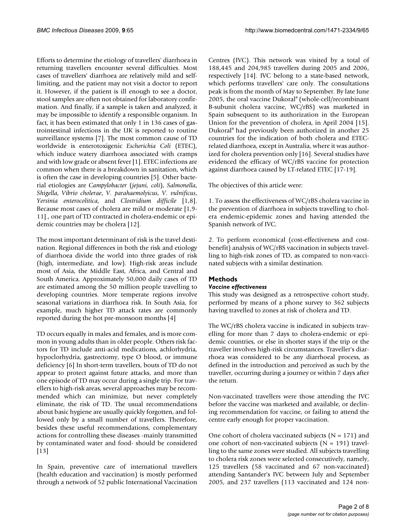Efforts to determine the etiology of travellers' diarrhoea in returning travellers encounter several difficulties. Most cases of travellers' diarrhoea are relatively mild and selflimiting, and the patient may not visit a doctor to report it. However, if the patient is ill enough to see a doctor, stool samples are often not obtained for laboratory confirmation. And finally, if a sample is taken and analyzed, it may be impossible to identify a responsible organism. In fact, it has been estimated that only 1 in 136 cases of gastrointestinal infections in the UK is reported to routine surveillance systems [7]. The most common cause of TD worldwide is enterotoxigenic *Escherichia Coli* (ETEC), which induce watery diarrhoea associated with cramps and with low grade or absent fever [1]. ETEC infections are common when there is a breakdown in sanitation, which is often the case in developing countries [5]. Other bacterial etiologies are *Campylobacter* (*jejuni, coli*), *Salmonella*, *Shigella*, *Vibrio cholerae*, *V. parahaemolyicus*, *V. vulnificus*, *Yersinia enterocolitica*, and *Clostridium difficile* [1,8]. Because most cases of cholera are mild or moderate [1,9- 11]., one part of TD contracted in cholera-endemic or epidemic countries may be cholera [12].

The most important determinant of risk is the travel destination. Regional differences in both the risk and etiology of diarrhoea divide the world into three grades of risk (high, intermediate, and low). High-risk areas include most of Asia, the Middle East, Africa, and Central and South America. Approximately 50,000 daily cases of TD are estimated among the 50 million people travelling to developing countries. More temperate regions involve seasonal variations in diarrhoea risk. In South Asia, for example, much higher TD attack rates are commonly reported during the hot pre-monsoon months [4]

TD occurs equally in males and females, and is more common in young adults than in older people. Others risk factors for TD include anti-acid medications, achlorhydria, hypoclorhydria, gastrectomy, type O blood, or immune deficiency [6] In short-term travellers, bouts of TD do not appear to protect against future attacks, and more than one episode of TD may occur during a single trip. For travellers to high-risk areas, several approaches may be recommended which can minimize, but never completely eliminate, the risk of TD. The usual recommendations about basic hygiene are usually quickly forgotten, and followed only by a small number of travellers. Therefore, besides these useful recommendations, complementary actions for controlling these diseases -mainly transmitted by contaminated water and food- should be considered [13]

In Spain, preventive care of international travellers (health education and vaccination) is mostly performed through a network of 52 public International Vaccination

Centres (IVC). This network was visited by a total of 188,445 and 204,985 travellers during 2005 and 2006, respectively [14]. IVC belong to a state-based network, which performs travellers' care only. The consultations peak is from the month of May to September. By late June 2005, the oral vaccine Dukoral® (whole-cell/recombinant B-subunit cholera vaccine, WC/rBS) was marketed in Spain subsequent to its authorization in the European Union for the prevention of cholera, in April 2004 [15]. Dukoral® had previously been authorized in another 25 countries for the indication of both cholera and ETECrelated diarrhoea, except in Australia, where it was authorized for cholera prevention only [16]. Several studies have evidenced the efficacy of WC/rBS vaccine for protection against diarrhoea caused by LT-related ETEC [17-19].

The objectives of this article were:

1. To assess the effectiveness of WC/rBS cholera vaccine in the prevention of diarrhoea in subjects travelling to cholera endemic-epidemic zones and having attended the Spanish network of IVC.

2. To perform economical (cost-effectiveness and costbenefit) analysis of WC/rBS vaccination in subjects travelling to high-risk zones of TD, as compared to non-vaccinated subjects with a similar destination.

# **Methods**

# *Vaccine effectiveness*

This study was designed as a retrospective cohort study, performed by means of a phone survey to 362 subjects having travelled to zones at risk of cholera and TD.

The WC/rBS cholera vaccine is indicated in subjects travelling for more than 7 days to cholera-endemic or epidemic countries, or else in shorter stays if the trip or the traveller involves high-risk circumstances. Traveller's diarrhoea was considered to be any diarrhoeal process, as defined in the introduction and perceived as such by the traveller, occurring during a journey or within 7 days after the return.

Non-vaccinated travellers were those attending the IVC before the vaccine was marketed and available, or declining recommendation for vaccine, or failing to attend the centre early enough for proper vaccination.

One cohort of cholera vaccinated subjects ( $N = 171$ ) and one cohort of non-vaccinated subjects ( $N = 191$ ) travelling to the same zones were studied. All subjects travelling to cholera risk zones were selected consecutively, namely, 125 travellers (58 vaccinated and 67 non-vaccinated) attending Santander's IVC between July and September 2005, and 237 travellers (113 vaccinated and 124 non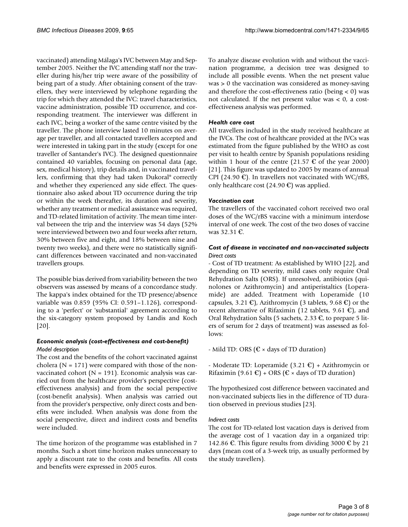vaccinated) attending Málaga's IVC between May and September 2005. Neither the IVC attending staff nor the traveller during his/her trip were aware of the possibility of being part of a study. After obtaining consent of the travellers, they were interviewed by telephone regarding the trip for which they attended the IVC: travel characteristics, vaccine administration, possible TD occurrence, and corresponding treatment. The interviewer was different in each IVC, being a worker of the same centre visited by the traveller. The phone interview lasted 10 minutes on average per traveller, and all contacted travellers accepted and were interested in taking part in the study (except for one traveller of Santander's IVC). The designed questionnaire contained 40 variables, focusing on personal data (age, sex, medical history), trip details and, in vaccinated travellers, confirming that they had taken Dukoral® correctly and whether they experienced any side effect. The questionnaire also asked about TD occurrence during the trip or within the week thereafter, its duration and severity, whether any treatment or medical assistance was required, and TD-related limitation of activity. The mean time interval between the trip and the interview was 54 days (52% were interviewed between two and four weeks after return, 30% between five and eight, and 18% between nine and twenty two weeks), and there were no statistically significant differences between vaccinated and non-vaccinated travellers groups.

The possible bias derived from variability between the two observers was assessed by means of a concordance study. The kappa's index obtained for the TD presence/absence variable was 0.859 (95% CI: 0.591–1.126), corresponding to a 'perfect' or 'substantial' agreement according to the six-category system proposed by Landis and Koch [20].

# *Economic analysis (cost-effectiveness and cost-benefit) Model description*

The cost and the benefits of the cohort vaccinated against cholera ( $N = 171$ ) were compared with those of the nonvaccinated cohort ( $N = 191$ ). Economic analysis was carried out from the healthcare provider's perspective (costeffectiveness analysis) and from the social perspective (cost-benefit analysis). When analysis was carried out from the provider's perspective, only direct costs and benefits were included. When analysis was done from the social perspective, direct and indirect costs and benefits were included.

The time horizon of the programme was established in 7 months. Such a short time horizon makes unnecessary to apply a discount rate to the costs and benefits. All costs and benefits were expressed in 2005 euros.

To analyze disease evolution with and without the vaccination programme, a decision tree was designed to include all possible events. When the net present value was > 0 the vaccination was considered as money-saving and therefore the cost-effectiveness ratio (being < 0) was not calculated. If the net present value was < 0, a costeffectiveness analysis was performed.

# *Health care cost*

All travellers included in the study received healthcare at the IVCs. The cost of healthcare provided at the IVCs was estimated from the figure published by the WHO as cost per visit to health centre by Spanish populations residing within 1 hour of the centre (21.57  $\epsilon$  of the year 2000) [21]. This figure was updated to 2005 by means of annual CPI (24.90  $\varepsilon$ ). In travellers not vaccinated with WC/rBS, only healthcare cost (24.90  $\mathbb{C}$ ) was applied.

# *Vaccination cost*

The travellers of the vaccinated cohort received two oral doses of the WC/rBS vaccine with a minimum interdose interval of one week. The cost of the two doses of vaccine was 32.31 €.

# *Cost of disease in vaccinated and non-vaccinated subjects Direct costs*

- Cost of TD treatment: As established by WHO [22], and depending on TD severity, mild cases only require Oral Rehydration Salts (ORS). If unresolved, antibiotics (quinolones or Azithromycin) and antiperistaltics (Loperamide) are added. Treatment with Loperamide (10 capsules, 3.21 €), Azithromycin (3 tablets, 9.68 €) or the recent alternative of Rifaximin (12 tablets, 9.61  $\epsilon$ ), and Oral Rehydration Salts (5 sachets, 2.33 €, to prepare 5 liters of serum for 2 days of treatment) was assessed as follows:

- Mild TD: ORS ( $\epsilon \times$  days of TD duration)

- Moderate TD: Loperamide  $(3.21 \mathcal{L})$  + Azithromycin or Rifaximin (9.61 €) + ORS ( $\epsilon \times$  days of TD duration)

The hypothesized cost difference between vaccinated and non-vaccinated subjects lies in the difference of TD duration observed in previous studies [23].

# *Indirect costs*

The cost for TD-related lost vacation days is derived from the average cost of 1 vacation day in a organized trip: 142.86  $\epsilon$ . This figure results from dividing 3000  $\epsilon$  by 21 days (mean cost of a 3-week trip, as usually performed by the study travellers).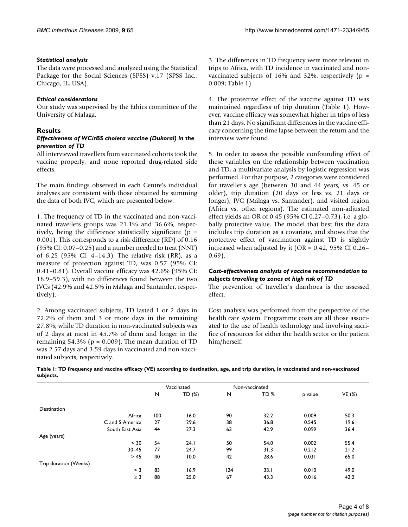#### *Statistical analysis*

The data were processed and analyzed using the Statistical Package for the Social Sciences (SPSS) v.17 (SPSS Inc., Chicago, IL, USA).

#### *Ethical considerations*

Our study was supervised by the Ethics committee of the University of Malaga.

# **Results**

#### *Effectiveness of WC/rBS cholera vaccine (Dukoral) in the prevention of TD*

All interviewed travellers from vaccinated cohorts took the vaccine properly, and none reported drug-related side effects.

The main findings observed in each Centre's individual analyses are consistent with those obtained by summing the data of both IVC, which are presented below.

1. The frequency of TD in the vaccinated and non-vaccinated travellers groups was 21.1% and 36.6%, respectively, being the difference statistically significant ( $p =$ 0.001). This corresponds to a risk difference (RD) of 0.16 (95% CI: 0.07–0.25) and a number needed to treat (NNT) of 6.25 (95% CI: 4–14.3). The relative risk (RR), as a measure of protection against TD, was 0.57 (95% CI: 0.41–0.81). Overall vaccine efficacy was 42.6% (95% CI: 18.9–59.3), with no differences found between the two IVCs (42.9% and 42.5% in Málaga and Santander, respectively).

2. Among vaccinated subjects, TD lasted 1 or 2 days in 72.2% of them and 3 or more days in the remaining 27.8%; while TD duration in non-vaccinated subjects was of 2 days at most in 45.7% of them and longer in the remaining  $54.3\%$  (p = 0.009). The mean duration of TD was 2.57 days and 3.59 days in vaccinated and non-vaccinated subjects, respectively.

3. The differences in TD frequency were more relevant in trips to Africa, with TD incidence in vaccinated and nonvaccinated subjects of 16% and 32%, respectively ( $p =$ 0.009; Table 1).

4. The protective effect of the vaccine against TD was maintained regardless of trip duration (Table 1). However, vaccine efficacy was somewhat higher in trips of less than 21 days. No significant differences in the vaccine efficacy concerning the time lapse between the return and the interview were found.

5. In order to assess the possible confounding effect of these variables on the relationship between vaccination and TD, a multivariate analysis by logistic regression was performed. For that purpose, 2 categories were considered for traveller's age (between 30 and 44 years, vs. 45 or older), trip duration (20 days or less vs. 21 days or longer), IVC (Málaga vs. Santander), and visited region (Africa vs. other regions). The estimated non-adjusted effect yields an OR of 0.45 (95% CI 0.27–0.73), i.e. a globally protective value. The model that best fits the data includes trip duration as a covariate, and shows that the protective effect of vaccination against TD is slightly increased when adjusted by it (OR =  $0.42$ , 95% CI 0.26-0.69).

#### *Cost-effectiveness analysis of vaccine recommendation to subjects travelling to zones at high risk of TD*

The prevention of traveller's diarrhoea is the assessed effect.

Cost analysis was performed from the perspective of the health care system. Programme costs are all those associated to the use of health technology and involving sacrifice of resources for either the health sector or the patient him/herself.

| Table I: TD frequency and vaccine efficacy (VE) according to destination, age, and trip duration, in vaccinated and non-vaccinated |  |  |
|------------------------------------------------------------------------------------------------------------------------------------|--|--|
| subjects.                                                                                                                          |  |  |

|                       |     | Vaccinated |     | Non-vaccinated  |         |               |
|-----------------------|-----|------------|-----|-----------------|---------|---------------|
|                       | N   | TD (%)     | N   | TD <sub>%</sub> | p value | <b>VE</b> (%) |
| Destination           |     |            |     |                 |         |               |
| Africa                | 100 | 16.0       | 90  | 32.2            | 0.009   | 50.3          |
| C and S America       | 27  | 29.6       | 38  | 36.8            | 0.545   | 19.6          |
| South East Asia       | 44  | 27.3       | 63  | 42.9            | 0.099   | 36.4          |
| Age (years)           |     |            |     |                 |         |               |
| < 30                  | 54  | 24.1       | 50  | 54.0            | 0.002   | 55.4          |
| $30 - 45$             | 77  | 24.7       | 99  | 31.3            | 0.212   | 21.2          |
| > 45                  | 40  | 10.0       | 42  | 28.6            | 0.031   | 65.0          |
| Trip duration (Weeks) |     |            |     |                 |         |               |
| $<$ 3                 | 83  | 16.9       | 124 | 33.1            | 0.010   | 49.0          |
| $\geq$ 3              | 88  | 25.0       | 67  | 43.3            | 0.016   | 42.2          |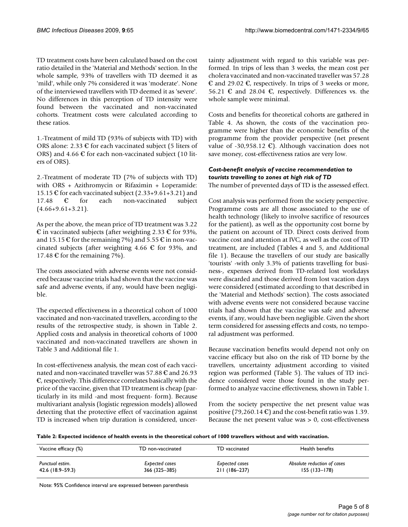TD treatment costs have been calculated based on the cost ratio detailed in the 'Material and Methods' section. In the whole sample, 93% of travellers with TD deemed it as 'mild', while only 7% considered it was 'moderate'. None of the interviewed travellers with TD deemed it as 'severe'. No differences in this perception of TD intensity were found between the vaccinated and non-vaccinated cohorts. Treatment costs were calculated according to these ratios.

1.-Treatment of mild TD (93% of subjects with TD) with ORS alone: 2.33  $\epsilon$  for each vaccinated subject (5 liters of ORS) and 4.66  $\epsilon$  for each non-vaccinated subject (10 liters of ORS).

2.-Treatment of moderate TD (7% of subjects with TD) with ORS + Azithromycin or Rifaximin + Loperamide: 15.15 € for each vaccinated subject (2.33+9.61+3.21) and 17.48 € for each non-vaccinated subject  $(4.66+9.61+3.21)$ .

As per the above, the mean price of TD treatment was 3.22  $\epsilon$  in vaccinated subjects (after weighting 2.33  $\epsilon$  for 93%, and 15.15  $\mathcal C$  for the remaining 7%) and 5.55  $\mathcal C$  in non-vaccinated subjects (after weighting 4.66  $\epsilon$  for 93%, and 17.48  $\mathbb C$  for the remaining 7%).

The costs associated with adverse events were not considered because vaccine trials had shown that the vaccine was safe and adverse events, if any, would have been negligible.

The expected effectiveness in a theoretical cohort of 1000 vaccinated and non-vaccinated travellers, according to the results of the retrospective study, is shown in Table 2. Applied costs and analysis in theoretical cohorts of 1000 vaccinated and non-vaccinated travellers are shown in Table 3 and Additional file 1.

In cost-effectiveness analysis, the mean cost of each vaccinated and non-vaccinated traveller was 57.88 € and 26.93  $\epsilon$ , respectively. This difference correlates basically with the price of the vaccine, given that TD treatment is cheap (particularly in its mild -and most frequent- form). Because multivariant analysis (logistic regression models) allowed detecting that the protective effect of vaccination against TD is increased when trip duration is considered, uncertainty adjustment with regard to this variable was performed. In trips of less than 3 weeks, the mean cost per cholera vaccinated and non-vaccinated traveller was 57.28 € and 29.02 €, respectively. In trips of 3 weeks or more, 56.21 € and 28.04 €, respectively. Differences vs. the whole sample were minimal.

Costs and benefits for theoretical cohorts are gathered in Table 4. As shown, the costs of the vaccination programme were higher than the economic benefits of the programme from the provider perspective (net present value of -30,958.12  $\epsilon$ ). Although vaccination does not save money, cost-effectiveness ratios are very low.

# *Cost-benefit analysis of vaccine recommendation to tourists travelling to zones at high risk of TD*

The number of prevented days of TD is the assessed effect.

Cost analysis was performed from the society perspective. Programme costs are all those associated to the use of health technology (likely to involve sacrifice of resources for the patient), as well as the opportunity cost borne by the patient on account of TD. Direct costs derived from vaccine cost and attention at IVC, as well as the cost of TD treatment, are included (Tables 4 and 5, and Additional file 1). Because the travellers of our study are basically 'tourists' -with only 3.3% of patients travelling for business-, expenses derived from TD-related lost workdays were discarded and those derived from lost vacation days were considered (estimated according to that described in the 'Material and Methods' section). The costs associated with adverse events were not considered because vaccine trials had shown that the vaccine was safe and adverse events, if any, would have been negligible. Given the short term considered for assessing effects and costs, no temporal adjustment was performed.

Because vaccination benefits would depend not only on vaccine efficacy but also on the risk of TD borne by the travellers, uncertainty adjustment according to visited region was performed (Table 5). The values of TD incidence considered were those found in the study performed to analyze vaccine effectiveness, shown in Table 1.

From the society perspective the net present value was positive (79,260.14  $\mathfrak{C}$ ) and the cost-benefit ratio was 1.39. Because the net present value was  $> 0$ , cost-effectiveness

**Table 2: Expected incidence of health events in the theoretical cohort of 1000 travellers without and with vaccination.**

| Vaccine efficacy (%) | TD non-vaccinated | TD vaccinated         | Health benefits             |
|----------------------|-------------------|-----------------------|-----------------------------|
| Punctual estim.      | Expected cases    | <b>Expected cases</b> | Absolute reduction of cases |
| 42.6 (18.9–59.3)     | 366 (325–385)     | 211 (186-237)         | $155(133 - 178)$            |

Note: 95% Confidence interval are expressed between parenthesis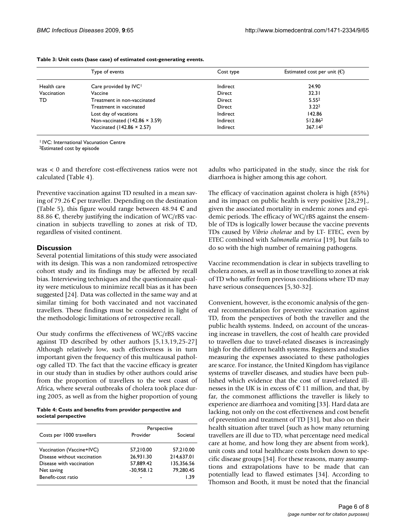|             | Type of events                        | Cost type | Estimated cost per unit $(\mathcal{C})$ |
|-------------|---------------------------------------|-----------|-----------------------------------------|
| Health care | Care provided by IVC <sup>1</sup>     | Indirect  | 24.90                                   |
| Vaccination | Vaccine                               | Direct    | 32.31                                   |
| TD          | Treatment in non-vaccinated           | Direct    | 5.55 <sup>2</sup>                       |
|             | Treatment in vaccinated               | Direct    | 3.22 <sup>2</sup>                       |
|             | Lost day of vacations                 | Indirect  | 142.86                                  |
|             | Non-vaccinated $(142.86 \times 3.59)$ | Indirect  | 512.862                                 |
|             | Vaccinated (142.86 × 2.57)            | Indirect  | 367.14 <sup>2</sup>                     |

**Table 3: Unit costs (base case) of estimated cost-generating events.**

1 IVC: International Vacunation Centre

2Estimated cost by episode

was < 0 and therefore cost-effectiveness ratios were not calculated (Table 4).

Preventive vaccination against TD resulted in a mean saving of 79.26  $\epsilon$  per traveller. Depending on the destination (Table 5), this figure would range between 48.94  $\epsilon$  and 88.86  $\epsilon$ , thereby justifying the indication of WC/rBS vaccination in subjects travelling to zones at risk of TD, regardless of visited continent.

#### **Discussion**

Several potential limitations of this study were associated with its design. This was a non randomized retrospective cohort study and its findings may be affected by recall bias. Interviewing techniques and the questionnaire quality were meticulous to minimize recall bias as it has been suggested [24]. Data was collected in the same way and at similar timing for both vaccinated and not vaccinated travellers. These findings must be considered in light of the methodologic limitations of retrospective recall.

Our study confirms the effectiveness of WC/rBS vaccine against TD described by other authors [5,13,19,25-27] Although relatively low, such effectiveness is in turn important given the frequency of this multicausal pathology called TD. The fact that the vaccine efficacy is greater in our study than in studies by other authors could arise from the proportion of travellers to the west coast of Africa, where several outbreaks of cholera took place during 2005, as well as from the higher proportion of young

**Table 4: Costs and benefits from provider perspective and societal perspective**

|                             | Perspective  |            |  |
|-----------------------------|--------------|------------|--|
| Costs per 1000 travellers   | Provider     | Societal   |  |
| Vaccination (Vaccine+IVC)   | 57,210.00    | 57,210.00  |  |
| Disease without vaccination | 26.931.30    | 214,637.01 |  |
| Disease with vaccination    | 57,889.42    | 135,356.56 |  |
| Net saving                  | $-30,958.12$ | 79,280.45  |  |
| Benefit-cost ratio          |              | 1.39       |  |

adults who participated in the study, since the risk for diarrhoea is higher among this age cohort.

The efficacy of vaccination against cholera is high (85%) and its impact on public health is very positive [28,29]., given the associated mortality in endemic zones and epidemic periods. The efficacy of WC/rBS against the ensemble of TDs is logically lower because the vaccine prevents TDs caused by *Vibrio cholerae* and by LT- ETEC, even by ETEC combined with *Salmonella enterica* [19], but fails to do so with the high number of remaining pathogens.

Vaccine recommendation is clear in subjects travelling to cholera zones, as well as in those travelling to zones at risk of TD who suffer from previous conditions where TD may have serious consequences [5,30-32].

Convenient, however, is the economic analysis of the general recommendation for preventive vaccination against TD, from the perspectives of both the traveller and the public health systems. Indeed, on account of the unceasing increase in travellers, the cost of health care provided to travellers due to travel-related diseases is increasingly high for the different health systems. Registers and studies measuring the expenses associated to these pathologies are scarce. For instance, the United Kingdom has vigilance systems of traveller diseases, and studies have been published which evidence that the cost of travel-related illnesses in the UK is in excess of  $\epsilon$  11 million, and that, by far, the commonest afflictions the traveller is likely to experience are diarrhoea and vomiting [33]. Hard data are lacking, not only on the cost effectiveness and cost benefit of prevention and treatment of TD [31], but also on their health situation after travel (such as how many returning travellers are ill due to TD, what percentage need medical care at home, and how long they are absent from work), unit costs and total healthcare costs broken down to specific disease groups [34]. For these reasons, many assumptions and extrapolations have to be made that can potentially lead to flawed estimates [34]. According to Thomson and Booth, it must be noted that the financial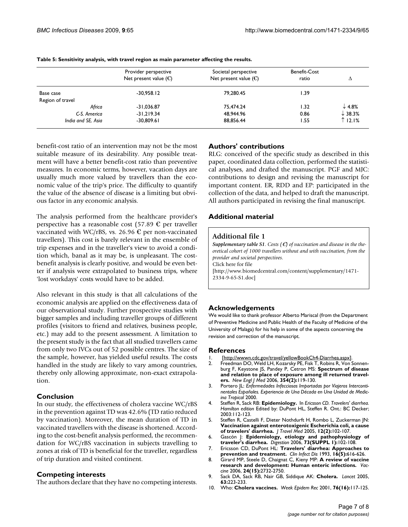|                    | Provider perspective<br>Net present value $(\mathbb{C})$ | Societal perspective<br>Net present value $(\mathcal{E})$ | Benefit-Cost<br>ratio | Δ                  |
|--------------------|----------------------------------------------------------|-----------------------------------------------------------|-----------------------|--------------------|
| Base case          | $-30.958.12$                                             | 79.280.45                                                 | I.39                  |                    |
| Region of travel   |                                                          |                                                           |                       |                    |
| Africa             | $-31,036.87$                                             | 75,474.24                                                 | 1.32                  | $\downarrow$ 4.8%  |
| C-S. America       | $-31.219.34$                                             | 48,944.96                                                 | 0.86                  | $\downarrow$ 38.3% |
| India and SE, Asia | $-30,809.61$                                             | 88,856.44                                                 | 1.55                  | $\uparrow$ 12.1%   |

**Table 5: Sensitivity analysis, with travel region as main parameter affecting the results.**

benefit-cost ratio of an intervention may not be the most suitable measure of its desirability. Any possible treatment will have a better benefit-cost ratio than preventive measures. In economic terms, however, vacation days are usually much more valued by travellers than the economic value of the trip's price. The difficulty to quantify the value of the absence of disease is a limiting but obvious factor in any economic analysis.

The analysis performed from the healthcare provider's perspective has a reasonable cost (57.89  $\epsilon$  per traveller vaccinated with WC/rBS, vs. 26.96  $\epsilon$  per non-vaccinated travellers). This cost is barely relevant in the ensemble of trip expenses and in the traveller's view to avoid a condition which, banal as it may be, is unpleasant. The costbenefit analysis is clearly positive, and would be even better if analysis were extrapolated to business trips, where 'lost workdays' costs would have to be added.

Also relevant in this study is that all calculations of the economic analysis are applied on the effectiveness data of our observational study. Further prospective studies with bigger samples and including traveller groups of different profiles (visitors to friend and relatives, business people, etc.) may add to the present assessment. A limitation to the present study is the fact that all studied travellers came from only two IVCs out of 52 possible centres. The size of the sample, however, has yielded useful results. The costs handled in the study are likely to vary among countries, thereby only allowing approximate, non-exact extrapolation.

# **Conclusion**

In our study, the effectiveness of cholera vaccine WC/rBS in the prevention against TD was 42.6% (TD ratio reduced by vaccination). Moreover, the mean duration of TD in vaccinated travellers with the disease is shortened. According to the cost-benefit analysis performed, the recommendation for WC/rBS vaccination in subjects travelling to zones at risk of TD is beneficial for the traveller, regardless of trip duration and visited continent.

#### **Competing interests**

The authors declare that they have no competing interests.

# **Authors' contributions**

RLG: conceived of the specific study as described in this paper, coordinated data collection, performed the statistical analyses, and drafted the manuscript. PGF and MJC: contributions to design and revising the manuscript for important content. ER, RDD and EP: participated in the collection of the data, and helped to draft the manuscript. All authors participated in revising the final manuscript.

# **Additional material**

#### **Additional file 1**

*Supplementary table S1. Costs (*€*) of vaccination and disease in the theoretical cohort of 1000 travellers without and with vaccination, from the provider and societal perspectives.* Click here for file [\[http://www.biomedcentral.com/content/supplementary/1471-](http://www.biomedcentral.com/content/supplementary/1471-2334-9-65-S1.doc) 2334-9-65-S1.doc]

# **Acknowledgements**

We would like to thank professor Alberto Mariscal (from the Department of Preventive Medicine and Public Health of the Faculty of Medicine of the University of Malaga) for his help in some of the aspects concerning the revision and correction of the manuscript.

#### **References**

- 1. [[http://wwwn.cdc.gov/travel/yellowBookCh4-Diarrhea.aspx\]](http://wwwn.cdc.gov/travel/yellowBookCh4-Diarrhea.aspx).
- 2. Freedman DO, Weld LH, Kozarsky PE, Fisk T, Robins R, Von Sonnenburg F, Keystone JS, Pandey P, Cetron MS: **[Spectrum of disease](http://www.ncbi.nlm.nih.gov/entrez/query.fcgi?cmd=Retrieve&db=PubMed&dopt=Abstract&list_uids=16407507) [and relation to place of exposure among ill returned travel](http://www.ncbi.nlm.nih.gov/entrez/query.fcgi?cmd=Retrieve&db=PubMed&dopt=Abstract&list_uids=16407507)[ers.](http://www.ncbi.nlm.nih.gov/entrez/query.fcgi?cmd=Retrieve&db=PubMed&dopt=Abstract&list_uids=16407507)** *New Engl J Med* 2006, **354(2):**119-130.
- 3. Portero JL: *Enfermedades Infecciosas Importadas por Viajeros Intercontinentales Españoles. Experiencia de Una Década en Una Unidad de Medicina Tropical* 2000.
- 4. Steffen R, Sack RB: **Epidemiology.** In *Ericsson CD. Travelers' diarrhea. Hamilton edition* Edited by: DuPont HL, Steffen R. Ont.: BC Decker; 2003:112-123.
- 5. Steffen R, Castelli F, Dieter Nothdurft H, Rombo L, Zuckerman JN: **[Vaccination against enterotoxigenic Escherichia coli, a cause](http://www.ncbi.nlm.nih.gov/entrez/query.fcgi?cmd=Retrieve&db=PubMed&dopt=Abstract&list_uids=15996455) [of travelers' diarrhea.](http://www.ncbi.nlm.nih.gov/entrez/query.fcgi?cmd=Retrieve&db=PubMed&dopt=Abstract&list_uids=15996455)** *J Travel Med* 2005, **12(2):**102-107.
- 6. Gascón J: **[Epidemiology, etiology and pathophysiology of](http://www.ncbi.nlm.nih.gov/entrez/query.fcgi?cmd=Retrieve&db=PubMed&dopt=Abstract&list_uids=16498258) [traveler's diarrhea.](http://www.ncbi.nlm.nih.gov/entrez/query.fcgi?cmd=Retrieve&db=PubMed&dopt=Abstract&list_uids=16498258)** *Digestion* 2006, **73(SUPPL 1):**102-108.
- 7. Ericsson CD, DuPont HL: **[Travelers' diarrhea: Approaches to](http://www.ncbi.nlm.nih.gov/entrez/query.fcgi?cmd=Retrieve&db=PubMed&dopt=Abstract&list_uids=8507751) [prevention and treatment.](http://www.ncbi.nlm.nih.gov/entrez/query.fcgi?cmd=Retrieve&db=PubMed&dopt=Abstract&list_uids=8507751)** *Clin Infect Dis* 1993, **16(5):**616-626.
- 8. Girard MP, Steele D, Chaignat C, Kieny MP: **[A review of vaccine](http://www.ncbi.nlm.nih.gov/entrez/query.fcgi?cmd=Retrieve&db=PubMed&dopt=Abstract&list_uids=16483695) [research and development: Human enteric infections.](http://www.ncbi.nlm.nih.gov/entrez/query.fcgi?cmd=Retrieve&db=PubMed&dopt=Abstract&list_uids=16483695)** *Vaccine* 2006, **24(15):**2732-2750.
- 9. Sack DA, Sack RB, Nair GB, Siddique AK: **Cholera.** *Lancet* 2005, **63:**223-233.
- 10. Who: **Cholera vaccines.** *Week Epidem Rec* 2001, **76(16):**117-125.